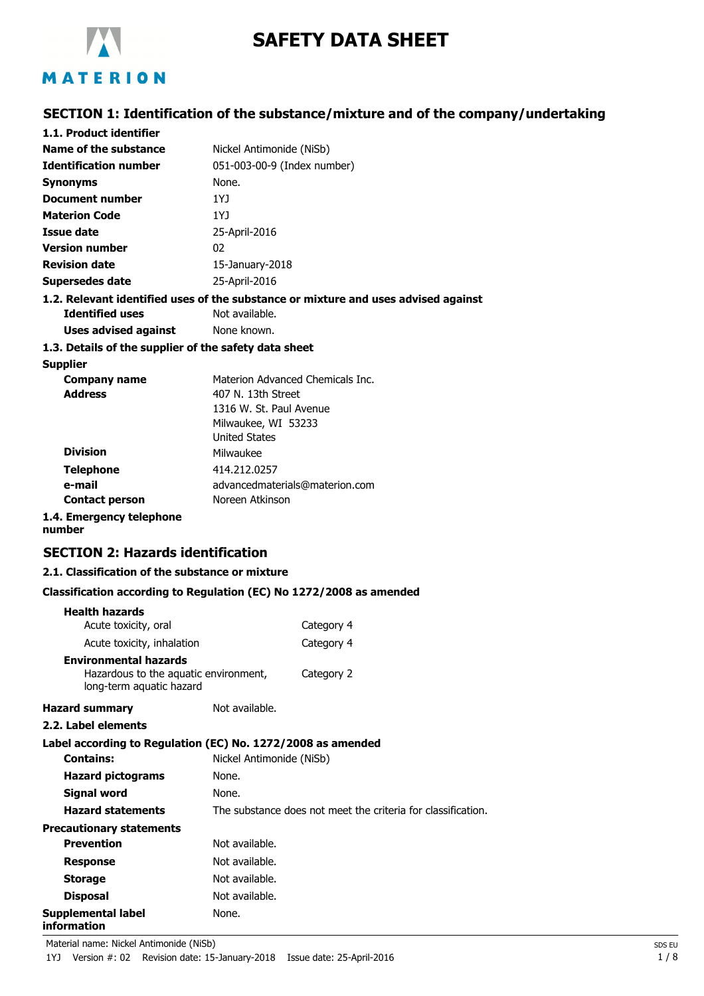

# **SAFETY DATA SHEET**

## **SECTION 1: Identification of the substance/mixture and of the company/undertaking**

| 1.1. Product identifier                               |                                                                                    |
|-------------------------------------------------------|------------------------------------------------------------------------------------|
| Name of the substance                                 | Nickel Antimonide (NiSb)                                                           |
| <b>Identification number</b>                          | 051-003-00-9 (Index number)                                                        |
| Synonyms                                              | None.                                                                              |
| Document number                                       | 1YJ                                                                                |
| <b>Materion Code</b>                                  | 1Y <sub>1</sub>                                                                    |
| <b>Issue date</b>                                     | 25-April-2016                                                                      |
| <b>Version number</b>                                 | 02 <sub>0</sub>                                                                    |
| <b>Revision date</b>                                  | 15-January-2018                                                                    |
| Supersedes date                                       | 25-April-2016                                                                      |
|                                                       | 1.2. Relevant identified uses of the substance or mixture and uses advised against |
| <b>Identified uses</b>                                | Not available.                                                                     |
| Uses advised against                                  | None known.                                                                        |
| 1.3. Details of the supplier of the safety data sheet |                                                                                    |
| <b>Supplier</b>                                       |                                                                                    |
| <b>Company name</b>                                   | Materion Advanced Chemicals Inc.                                                   |
| <b>Address</b>                                        | 407 N. 13th Street                                                                 |
|                                                       | 1316 W. St. Paul Avenue                                                            |
|                                                       | Milwaukee, WI 53233                                                                |
|                                                       | <b>United States</b>                                                               |
| <b>Division</b>                                       | Milwaukee                                                                          |
| <b>Telephone</b>                                      | 414.212.0257                                                                       |
| e-mail                                                | advancedmaterials@materion.com                                                     |
| <b>Contact person</b>                                 | Noreen Atkinson                                                                    |
| 1.4. Emergency telephone                              |                                                                                    |

# **number**

## **SECTION 2: Hazards identification**

#### **2.1. Classification of the substance or mixture**

#### **Classification according to Regulation (EC) No 1272/2008 as amended**

| <b>Health hazards</b>                                                                             |                          |                                                              |
|---------------------------------------------------------------------------------------------------|--------------------------|--------------------------------------------------------------|
| Acute toxicity, oral                                                                              |                          | Category 4                                                   |
| Acute toxicity, inhalation                                                                        |                          | Category 4                                                   |
| <b>Environmental hazards</b><br>Hazardous to the aquatic environment,<br>long-term aquatic hazard |                          | Category 2                                                   |
| <b>Hazard summary</b>                                                                             | Not available.           |                                                              |
| 2.2. Label elements                                                                               |                          |                                                              |
| Label according to Regulation (EC) No. 1272/2008 as amended                                       |                          |                                                              |
| <b>Contains:</b>                                                                                  | Nickel Antimonide (NiSb) |                                                              |
| <b>Hazard pictograms</b>                                                                          | None.                    |                                                              |
| Signal word                                                                                       | None.                    |                                                              |
| <b>Hazard statements</b>                                                                          |                          | The substance does not meet the criteria for classification. |
| <b>Precautionary statements</b>                                                                   |                          |                                                              |
| <b>Prevention</b>                                                                                 | Not available.           |                                                              |
| <b>Response</b>                                                                                   | Not available.           |                                                              |
| <b>Storage</b>                                                                                    | Not available.           |                                                              |
| <b>Disposal</b>                                                                                   | Not available.           |                                                              |
| Supplemental label<br>information                                                                 | None.                    |                                                              |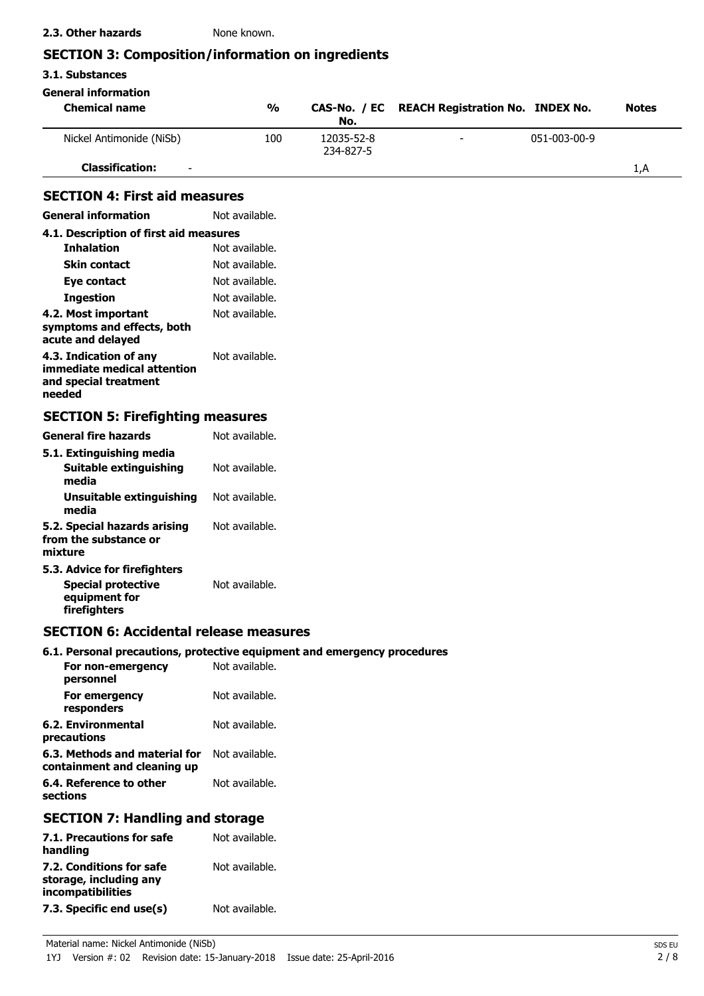## **SECTION 3: Composition/information on ingredients**

| 3.1. Substances                                                                            |                |                         |                                         |              |              |
|--------------------------------------------------------------------------------------------|----------------|-------------------------|-----------------------------------------|--------------|--------------|
| <b>General information</b>                                                                 |                |                         |                                         |              |              |
| <b>Chemical name</b>                                                                       | $\frac{1}{2}$  | CAS-No. / EC<br>No.     | <b>REACH Registration No. INDEX No.</b> |              | <b>Notes</b> |
| Nickel Antimonide (NiSb)                                                                   | 100            | 12035-52-8<br>234-827-5 |                                         | 051-003-00-9 |              |
| <b>Classification:</b>                                                                     |                |                         |                                         |              | 1, A         |
| <b>SECTION 4: First aid measures</b>                                                       |                |                         |                                         |              |              |
| <b>General information</b>                                                                 | Not available. |                         |                                         |              |              |
| 4.1. Description of first aid measures                                                     |                |                         |                                         |              |              |
| <b>Inhalation</b>                                                                          | Not available. |                         |                                         |              |              |
| <b>Skin contact</b>                                                                        | Not available. |                         |                                         |              |              |
| Eye contact                                                                                | Not available. |                         |                                         |              |              |
| <b>Ingestion</b>                                                                           | Not available. |                         |                                         |              |              |
| 4.2. Most important<br>symptoms and effects, both<br>acute and delayed                     | Not available. |                         |                                         |              |              |
| 4.3. Indication of any<br>immediate medical attention<br>and special treatment<br>needed   | Not available. |                         |                                         |              |              |
| <b>SECTION 5: Firefighting measures</b>                                                    |                |                         |                                         |              |              |
| <b>General fire hazards</b>                                                                | Not available. |                         |                                         |              |              |
| 5.1. Extinguishing media                                                                   |                |                         |                                         |              |              |
| Suitable extinguishing<br>media                                                            | Not available. |                         |                                         |              |              |
| Unsuitable extinguishing<br>media                                                          | Not available. |                         |                                         |              |              |
| 5.2. Special hazards arising<br>from the substance or<br>mixture                           | Not available. |                         |                                         |              |              |
| 5.3. Advice for firefighters<br><b>Special protective</b><br>equipment for<br>firefighters | Not available. |                         |                                         |              |              |
| <b>SECTION 6: Accidental release measures</b>                                              |                |                         |                                         |              |              |
| 6.1. Personal precautions, protective equipment and emergency procedures                   |                |                         |                                         |              |              |
| For non-emergency<br>personnel                                                             | Not available. |                         |                                         |              |              |
| For emergency<br>responders                                                                | Not available. |                         |                                         |              |              |
| <b>6.2. Environmental</b><br>precautions                                                   | Not available. |                         |                                         |              |              |
| 6.3. Methods and material for<br>containment and cleaning up                               | Not available. |                         |                                         |              |              |
| 6.4. Reference to other<br>sections                                                        | Not available. |                         |                                         |              |              |

## **SECTION 7: Handling and storage**

| 7.1. Precautions for safe<br>handling                                   | Not available. |
|-------------------------------------------------------------------------|----------------|
| 7.2. Conditions for safe<br>storage, including any<br>incompatibilities | Not available. |
| 7.3. Specific end use(s)                                                | Not available. |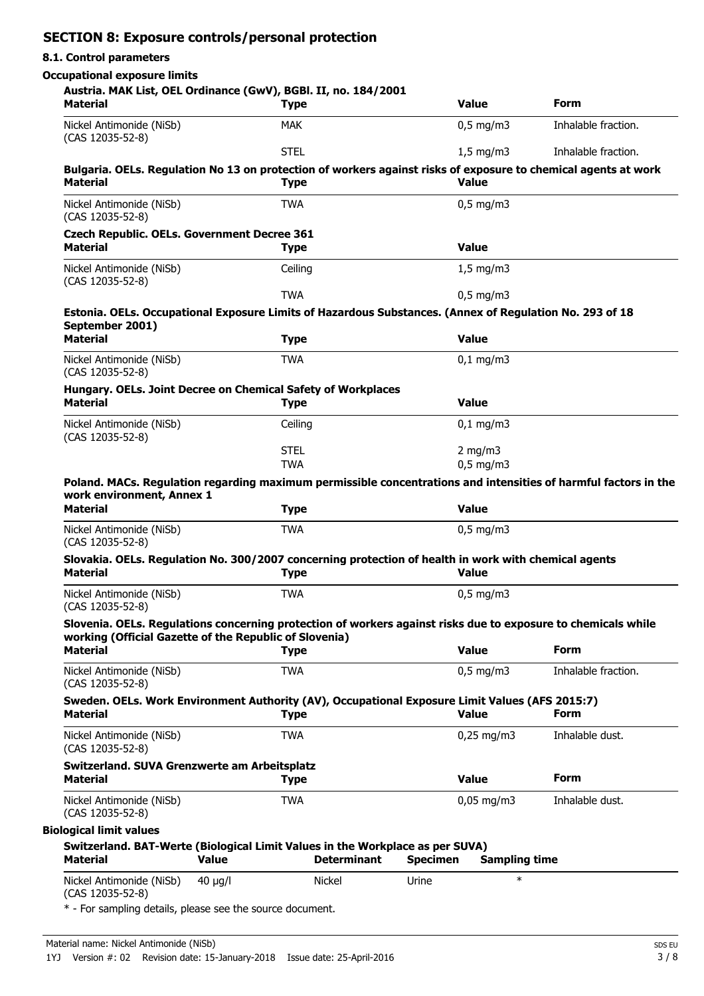## **SECTION 8: Exposure controls/personal protection**

#### **8.1. Control parameters**

## **Occupational exposure limits**

| Austria. MAK List, OEL Ordinance (GwV), BGBI. II, no. 184/2001<br><b>Material</b>                                                                                                                                                                                                              |              | <b>Type</b>        |                 | <b>Value</b>         | Form                                                                                                            |
|------------------------------------------------------------------------------------------------------------------------------------------------------------------------------------------------------------------------------------------------------------------------------------------------|--------------|--------------------|-----------------|----------------------|-----------------------------------------------------------------------------------------------------------------|
| Nickel Antimonide (NiSb)<br>(CAS 12035-52-8)                                                                                                                                                                                                                                                   |              | <b>MAK</b>         |                 | $0,5$ mg/m3          | Inhalable fraction.                                                                                             |
|                                                                                                                                                                                                                                                                                                |              | <b>STEL</b>        |                 | $1,5$ mg/m3          | Inhalable fraction.                                                                                             |
| <b>Material</b>                                                                                                                                                                                                                                                                                |              | <b>Type</b>        |                 | <b>Value</b>         | Bulgaria. OELs. Regulation No 13 on protection of workers against risks of exposure to chemical agents at work  |
| Nickel Antimonide (NiSb)<br>(CAS 12035-52-8)                                                                                                                                                                                                                                                   |              | <b>TWA</b>         |                 | $0,5$ mg/m3          |                                                                                                                 |
| <b>Czech Republic. OELs. Government Decree 361</b><br><b>Material</b>                                                                                                                                                                                                                          |              | <b>Type</b>        |                 | <b>Value</b>         |                                                                                                                 |
| Nickel Antimonide (NiSb)<br>(CAS 12035-52-8)                                                                                                                                                                                                                                                   |              | Ceiling            |                 | $1,5$ mg/m3          |                                                                                                                 |
|                                                                                                                                                                                                                                                                                                |              | <b>TWA</b>         |                 | $0,5$ mg/m3          |                                                                                                                 |
| Estonia. OELs. Occupational Exposure Limits of Hazardous Substances. (Annex of Regulation No. 293 of 18<br>September 2001)                                                                                                                                                                     |              |                    |                 |                      |                                                                                                                 |
| <b>Material</b>                                                                                                                                                                                                                                                                                |              | <b>Type</b>        |                 | <b>Value</b>         |                                                                                                                 |
| Nickel Antimonide (NiSb)<br>(CAS 12035-52-8)                                                                                                                                                                                                                                                   |              | <b>TWA</b>         |                 | $0,1$ mg/m $3$       |                                                                                                                 |
| Hungary. OELs. Joint Decree on Chemical Safety of Workplaces<br><b>Material</b>                                                                                                                                                                                                                |              | <b>Type</b>        |                 | <b>Value</b>         |                                                                                                                 |
| Nickel Antimonide (NiSb)<br>(CAS 12035-52-8)                                                                                                                                                                                                                                                   |              | Ceiling            |                 | $0,1$ mg/m3          |                                                                                                                 |
|                                                                                                                                                                                                                                                                                                |              | <b>STEL</b>        |                 | 2 mg/m $3$           |                                                                                                                 |
|                                                                                                                                                                                                                                                                                                |              | <b>TWA</b>         |                 | $0.5$ mg/m $3$       |                                                                                                                 |
| work environment, Annex 1<br><b>Material</b>                                                                                                                                                                                                                                                   |              | <b>Type</b>        |                 | <b>Value</b>         | Poland. MACs. Regulation regarding maximum permissible concentrations and intensities of harmful factors in the |
|                                                                                                                                                                                                                                                                                                |              |                    |                 |                      |                                                                                                                 |
| Nickel Antimonide (NiSb)<br>(CAS 12035-52-8)                                                                                                                                                                                                                                                   |              | <b>TWA</b>         |                 | $0,5$ mg/m3          |                                                                                                                 |
| Slovakia. OELs. Regulation No. 300/2007 concerning protection of health in work with chemical agents<br><b>Material</b>                                                                                                                                                                        |              | <b>Type</b>        |                 | <b>Value</b>         |                                                                                                                 |
| Nickel Antimonide (NiSb)<br>(CAS 12035-52-8)                                                                                                                                                                                                                                                   |              | <b>TWA</b>         |                 | $0,5$ mg/m3          |                                                                                                                 |
| Slovenia. OELs. Regulations concerning protection of workers against risks due to exposure to chemicals while<br>working (Official Gazette of the Republic of Slovenia)                                                                                                                        |              |                    |                 |                      |                                                                                                                 |
| <b>Material</b>                                                                                                                                                                                                                                                                                |              | <b>Type</b>        |                 | <b>Value</b>         | <b>Form</b>                                                                                                     |
| Nickel Antimonide (NiSb)<br>(CAS 12035-52-8)                                                                                                                                                                                                                                                   |              | <b>TWA</b>         |                 | $0,5$ mg/m3          | Inhalable fraction.                                                                                             |
| Sweden. OELs. Work Environment Authority (AV), Occupational Exposure Limit Values (AFS 2015:7)<br><b>Material</b>                                                                                                                                                                              |              | <b>Type</b>        |                 | <b>Value</b>         | Form                                                                                                            |
|                                                                                                                                                                                                                                                                                                |              | <b>TWA</b>         |                 | $0,25$ mg/m3         | Inhalable dust.                                                                                                 |
|                                                                                                                                                                                                                                                                                                |              |                    |                 |                      |                                                                                                                 |
|                                                                                                                                                                                                                                                                                                |              | <b>Type</b>        |                 | <b>Value</b>         | <b>Form</b>                                                                                                     |
|                                                                                                                                                                                                                                                                                                |              | <b>TWA</b>         |                 | $0,05$ mg/m3         | Inhalable dust.                                                                                                 |
|                                                                                                                                                                                                                                                                                                |              |                    |                 |                      |                                                                                                                 |
| Nickel Antimonide (NiSb)<br>(CAS 12035-52-8)<br>Switzerland. SUVA Grenzwerte am Arbeitsplatz<br>Material<br>Nickel Antimonide (NiSb)<br>(CAS 12035-52-8)<br><b>Biological limit values</b><br>Switzerland. BAT-Werte (Biological Limit Values in the Workplace as per SUVA)<br><b>Material</b> | <b>Value</b> | <b>Determinant</b> | <b>Specimen</b> | <b>Sampling time</b> |                                                                                                                 |

\* - For sampling details, please see the source document.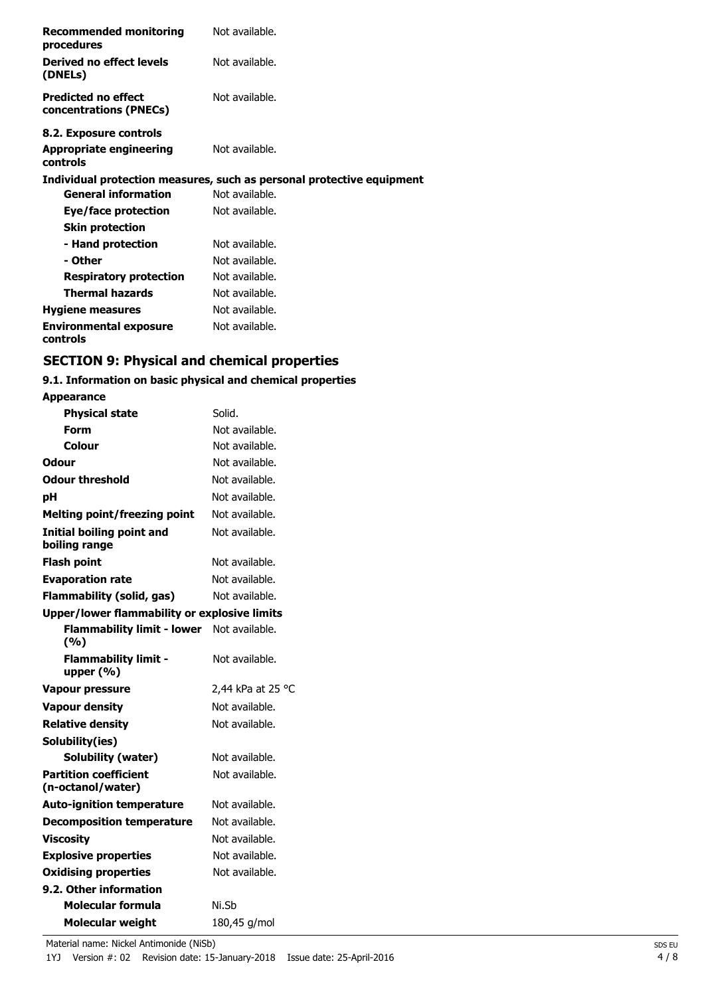| <b>Recommended monitoring</b><br>procedures          | Not available.                                                        |
|------------------------------------------------------|-----------------------------------------------------------------------|
| <b>Derived no effect levels</b><br>(DNELs)           | Not available.                                                        |
| <b>Predicted no effect</b><br>concentrations (PNECs) | Not available.                                                        |
| 8.2. Exposure controls                               |                                                                       |
| <b>Appropriate engineering</b><br>controls           | Not available.                                                        |
|                                                      | Individual protection measures, such as personal protective equipment |
| <b>General information</b>                           | Not available.                                                        |
| Eye/face protection                                  | Not available.                                                        |
| <b>Skin protection</b>                               |                                                                       |
| - Hand protection                                    | Not available.                                                        |
| - Other                                              | Not available.                                                        |
| <b>Respiratory protection</b>                        | Not available.                                                        |
| <b>Thermal hazards</b>                               | Not available.                                                        |
| <b>Hygiene measures</b>                              | Not available.                                                        |
| <b>Environmental exposure</b><br>controls            | Not available.                                                        |

# **SECTION 9: Physical and chemical properties**

## **9.1. Information on basic physical and chemical properties**

| <b>Appearance</b>                                 |                   |  |
|---------------------------------------------------|-------------------|--|
| <b>Physical state</b>                             | Solid.            |  |
| Form                                              | Not available.    |  |
| Colour                                            | Not available.    |  |
| Odour                                             | Not available.    |  |
| <b>Odour threshold</b>                            | Not available.    |  |
| pH                                                | Not available.    |  |
| <b>Melting point/freezing point</b>               | Not available.    |  |
| <b>Initial boiling point and</b><br>boiling range | Not available.    |  |
| <b>Flash point</b>                                | Not available.    |  |
| <b>Evaporation rate</b>                           | Not available.    |  |
| <b>Flammability (solid, gas)</b>                  | Not available.    |  |
| Upper/lower flammability or explosive limits      |                   |  |
| <b>Flammability limit - lower</b><br>(%)          | Not available.    |  |
| <b>Flammability limit -</b><br>upper (%)          | Not available.    |  |
| <b>Vapour pressure</b>                            | 2,44 kPa at 25 °C |  |
| <b>Vapour density</b>                             | Not available.    |  |
| <b>Relative density</b>                           | Not available.    |  |
| Solubility(ies)                                   |                   |  |
| Solubility (water)                                | Not available.    |  |
| <b>Partition coefficient</b><br>(n-octanol/water) | Not available.    |  |
| <b>Auto-ignition temperature</b>                  | Not available.    |  |
| <b>Decomposition temperature</b>                  | Not available.    |  |
| <b>Viscosity</b>                                  | Not available.    |  |
| <b>Explosive properties</b>                       | Not available.    |  |
| <b>Oxidising properties</b>                       | Not available.    |  |
| 9.2. Other information                            |                   |  |
| Molecular formula                                 | Ni.Sb             |  |
| <b>Molecular weight</b>                           | 180,45 g/mol      |  |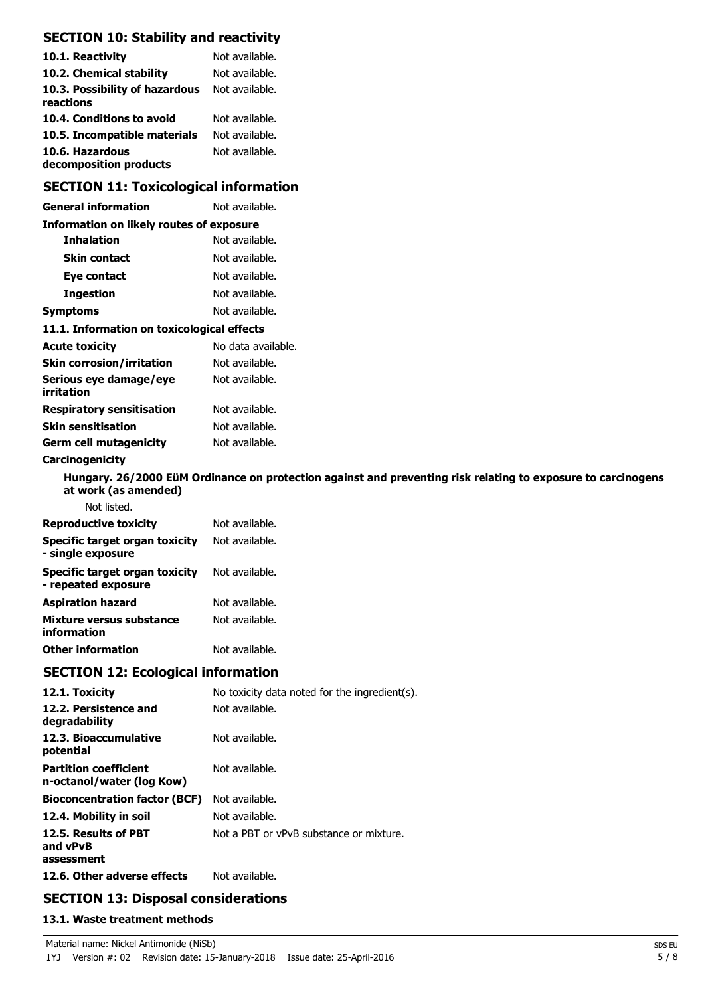## **SECTION 10: Stability and reactivity**

| 10.1. Reactivity                            | Not available. |
|---------------------------------------------|----------------|
| 10.2. Chemical stability                    | Not available. |
| 10.3. Possibility of hazardous<br>reactions | Not available. |
| 10.4. Conditions to avoid                   | Not available. |
| 10.5. Incompatible materials                | Not available. |
| 10.6. Hazardous<br>decomposition products   | Not available. |

## **SECTION 11: Toxicological information**

| <b>General information</b>                                   | Not available.                                                                                               |
|--------------------------------------------------------------|--------------------------------------------------------------------------------------------------------------|
| <b>Information on likely routes of exposure</b>              |                                                                                                              |
| <b>Inhalation</b>                                            | Not available.                                                                                               |
| <b>Skin contact</b>                                          | Not available.                                                                                               |
| Eye contact                                                  | Not available.                                                                                               |
| <b>Ingestion</b>                                             | Not available.                                                                                               |
| <b>Symptoms</b>                                              | Not available.                                                                                               |
| 11.1. Information on toxicological effects                   |                                                                                                              |
| <b>Acute toxicity</b>                                        | No data available.                                                                                           |
| <b>Skin corrosion/irritation</b>                             | Not available.                                                                                               |
| Serious eye damage/eye<br>irritation                         | Not available.                                                                                               |
| <b>Respiratory sensitisation</b>                             | Not available.                                                                                               |
| <b>Skin sensitisation</b>                                    | Not available.                                                                                               |
| <b>Germ cell mutagenicity</b>                                | Not available.                                                                                               |
| Carcinogenicity                                              |                                                                                                              |
| at work (as amended)                                         | Hungary. 26/2000 EüM Ordinance on protection against and preventing risk relating to exposure to carcinogens |
| Not listed.                                                  |                                                                                                              |
| <b>Reproductive toxicity</b>                                 | Not available.                                                                                               |
| Specific target organ toxicity<br>- single exposure          | Not available.                                                                                               |
| <b>Specific target organ toxicity</b><br>- repeated exposure | Not available.                                                                                               |
| <b>Aspiration hazard</b>                                     | Not available.                                                                                               |
| Mixture versus substance<br>information                      | Not available.                                                                                               |
| <b>Other information</b>                                     | Not available.                                                                                               |
| <b>SECTION 12: Ecological information</b>                    |                                                                                                              |

| 12.1. Toxicity                                            | No toxicity data noted for the ingredient(s). |
|-----------------------------------------------------------|-----------------------------------------------|
| 12.2. Persistence and<br>degradability                    | Not available.                                |
| 12.3. Bioaccumulative<br>potential                        | Not available.                                |
| <b>Partition coefficient</b><br>n-octanol/water (log Kow) | Not available.                                |
| <b>Bioconcentration factor (BCF)</b>                      | Not available.                                |
| 12.4. Mobility in soil                                    | Not available.                                |
| 12.5. Results of PBT<br>and vPvB<br>assessment            | Not a PBT or vPvB substance or mixture.       |
| 12.6. Other adverse effects                               | Not available.                                |

# **SECTION 13: Disposal considerations**

### **13.1. Waste treatment methods**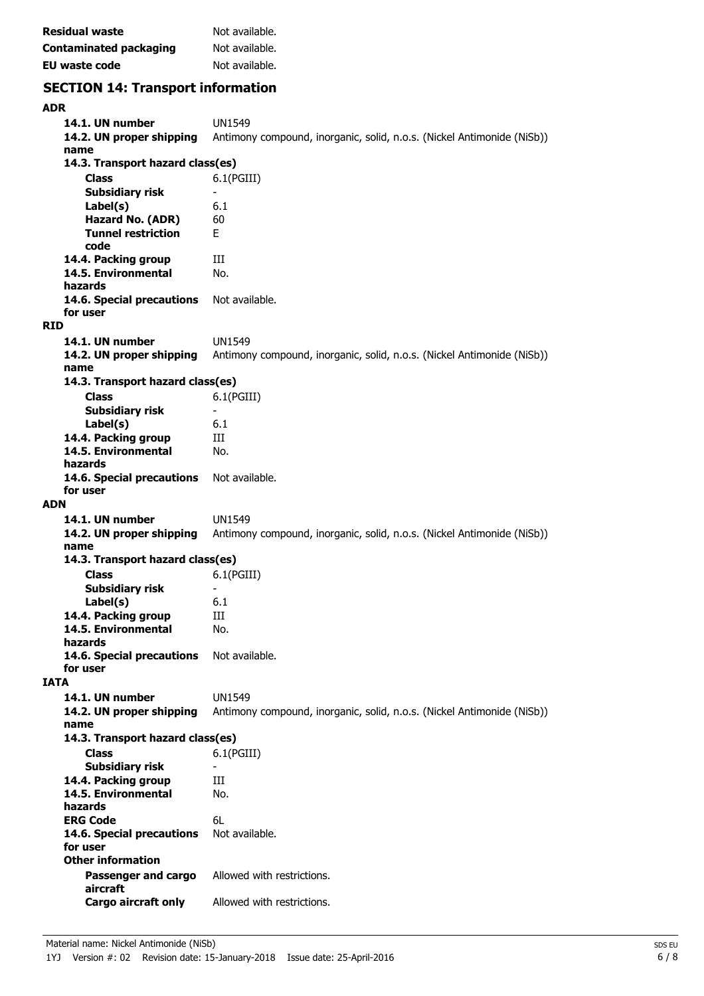| Residual waste         | Not available. |
|------------------------|----------------|
| Contaminated packaging | Not available. |
| EU waste code          | Not available. |

# **SECTION 14: Transport information**

| <b>ADR</b>      |                                  |                                                                        |
|-----------------|----------------------------------|------------------------------------------------------------------------|
| 14.1. UN number |                                  | <b>UN1549</b>                                                          |
|                 | 14.2. UN proper shipping         | Antimony compound, inorganic, solid, n.o.s. (Nickel Antimonide (NiSb)) |
| name            |                                  |                                                                        |
|                 | 14.3. Transport hazard class(es) |                                                                        |
| <b>Class</b>    |                                  | $6.1$ (PGIII)                                                          |
|                 | Subsidiary risk                  | $\overline{\phantom{a}}$                                               |
| Label(s)        |                                  | 6.1                                                                    |
|                 | Hazard No. (ADR)                 | 60                                                                     |
|                 | <b>Tunnel restriction</b>        | F.                                                                     |
| code            |                                  |                                                                        |
|                 | 14.4. Packing group              | Ш                                                                      |
|                 | 14.5. Environmental              | No.                                                                    |
| hazards         |                                  |                                                                        |
|                 | 14.6. Special precautions        | Not available.                                                         |
| for user        |                                  |                                                                        |
| <b>RID</b>      |                                  |                                                                        |
| 14.1. UN number |                                  | <b>UN1549</b>                                                          |
|                 | 14.2. UN proper shipping         | Antimony compound, inorganic, solid, n.o.s. (Nickel Antimonide (NiSb)) |
| name            |                                  |                                                                        |
|                 | 14.3. Transport hazard class(es) |                                                                        |
| <b>Class</b>    |                                  | 6.1(PGIII)                                                             |
|                 | <b>Subsidiary risk</b>           | $\blacksquare$                                                         |
| Label(s)        |                                  | 6.1                                                                    |
|                 | 14.4. Packing group              | Ш                                                                      |
|                 | 14.5. Environmental              | No.                                                                    |
| hazards         |                                  |                                                                        |
| for user        | 14.6. Special precautions        | Not available.                                                         |
| <b>ADN</b>      |                                  |                                                                        |
|                 |                                  |                                                                        |
| 14.1. UN number |                                  | <b>UN1549</b>                                                          |
| name            | 14.2. UN proper shipping         | Antimony compound, inorganic, solid, n.o.s. (Nickel Antimonide (NiSb)) |
|                 | 14.3. Transport hazard class(es) |                                                                        |
| <b>Class</b>    |                                  |                                                                        |
|                 | <b>Subsidiary risk</b>           | 6.1(PGIII)<br>$\blacksquare$                                           |
| Label(s)        |                                  | 6.1                                                                    |
|                 | 14.4. Packing group              | Ш                                                                      |
|                 | 14.5. Environmental              | No.                                                                    |
| hazards         |                                  |                                                                        |
|                 | 14.6. Special precautions        | Not available.                                                         |
| for user        |                                  |                                                                        |
| <b>IATA</b>     |                                  |                                                                        |
| 14.1. UN number |                                  | <b>UN1549</b>                                                          |
|                 | 14.2. UN proper shipping         | Antimony compound, inorganic, solid, n.o.s. (Nickel Antimonide (NiSb)) |
| name            |                                  |                                                                        |
|                 | 14.3. Transport hazard class(es) |                                                                        |
| <b>Class</b>    |                                  | 6.1(PGIII)                                                             |
|                 | <b>Subsidiary risk</b>           |                                                                        |
|                 | 14.4. Packing group              | Ш                                                                      |
|                 | 14.5. Environmental              | No.                                                                    |
| hazards         |                                  |                                                                        |
| <b>ERG Code</b> |                                  | 6L                                                                     |
|                 | 14.6. Special precautions        | Not available.                                                         |
| for user        |                                  |                                                                        |
|                 | <b>Other information</b>         |                                                                        |
|                 | Passenger and cargo              | Allowed with restrictions.                                             |
| aircraft        |                                  |                                                                        |
|                 | Cargo aircraft only              | Allowed with restrictions.                                             |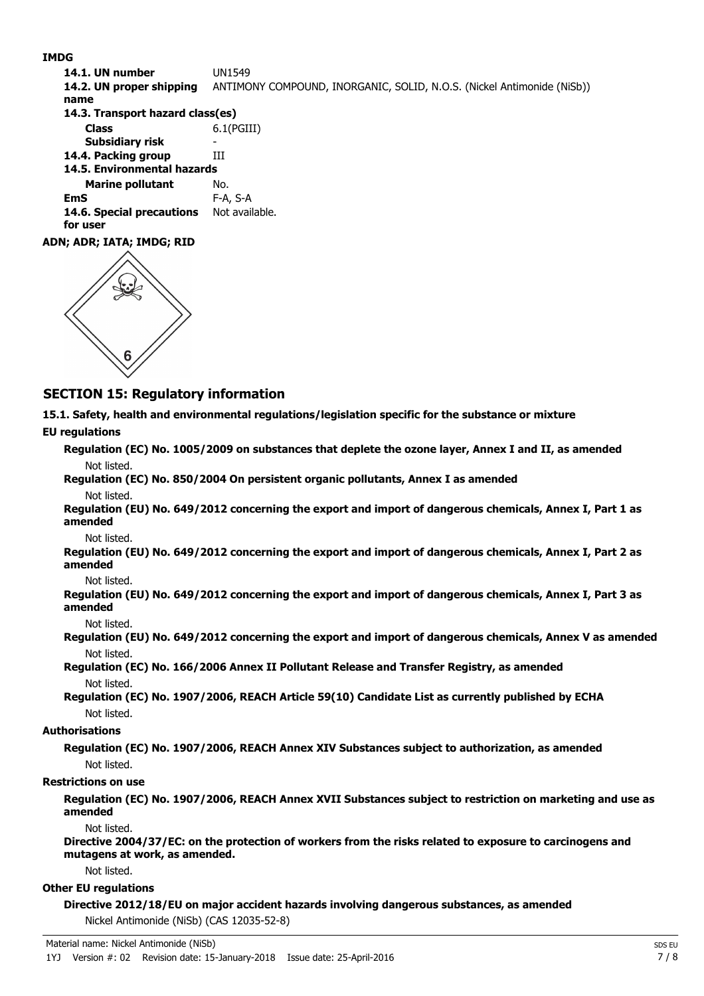#### **IMDG**

**14.1. UN number** UN1549 **14.2. UN proper shipping** ANTIMONY COMPOUND, INORGANIC, SOLID, N.O.S. (Nickel Antimonide (NiSb)) **name Class** 6.1(PGIII) **14.3. Transport hazard class(es) Subsidiary risk 14.4. Packing group III Marine pollutant** No. **14.5. Environmental hazards EmS** F-A, S-A 14.6. Special precautions Not available. **for user**

#### **ADN; ADR; IATA; IMDG; RID**



## **SECTION 15: Regulatory information**

**15.1. Safety, health and environmental regulations/legislation specific for the substance or mixture**

#### **EU regulations**

**Regulation (EC) No. 1005/2009 on substances that deplete the ozone layer, Annex I and II, as amended** Not listed.

**Regulation (EC) No. 850/2004 On persistent organic pollutants, Annex I as amended** Not listed.

**Regulation (EU) No. 649/2012 concerning the export and import of dangerous chemicals, Annex I, Part 1 as amended**

Not listed.

**Regulation (EU) No. 649/2012 concerning the export and import of dangerous chemicals, Annex I, Part 2 as amended**

Not listed.

**Regulation (EU) No. 649/2012 concerning the export and import of dangerous chemicals, Annex I, Part 3 as amended**

Not listed.

**Regulation (EU) No. 649/2012 concerning the export and import of dangerous chemicals, Annex V as amended** Not listed.

**Regulation (EC) No. 166/2006 Annex II Pollutant Release and Transfer Registry, as amended** Not listed.

**Regulation (EC) No. 1907/2006, REACH Article 59(10) Candidate List as currently published by ECHA** Not listed.

#### **Authorisations**

**Regulation (EC) No. 1907/2006, REACH Annex XIV Substances subject to authorization, as amended** Not listed.

#### **Restrictions on use**

**Regulation (EC) No. 1907/2006, REACH Annex XVII Substances subject to restriction on marketing and use as amended**

Not listed.

**Directive 2004/37/EC: on the protection of workers from the risks related to exposure to carcinogens and mutagens at work, as amended.**

Not listed.

### **Other EU regulations**

**Directive 2012/18/EU on major accident hazards involving dangerous substances, as amended** Nickel Antimonide (NiSb) (CAS 12035-52-8)